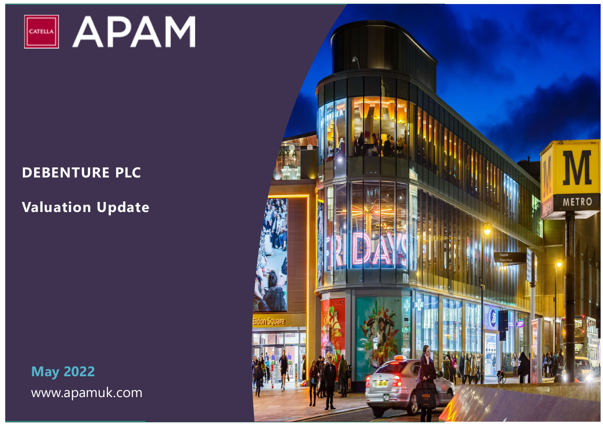

## **DEBENTURE PLC**

## **Valuation Update**

**May 2022** www.apamuk.com

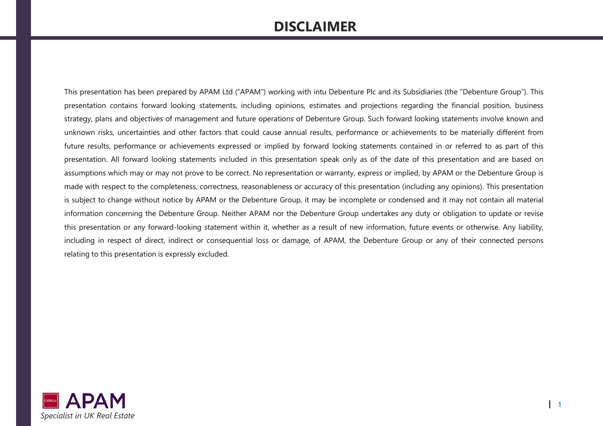## **DISCLAIMER**

This presentation has been prepared by APAM Ltd ("APAM") working with intu Debenture Plc and its Subsidiaries (the "Debenture Group"). This presentation contains forward looking statements, including opinions, estimates and projections regarding the financial position, business strategy, plans and objectives of management and future operations of Debenture Group. Such forward looking statements involve known and unknown risks, uncertainties and other factors that could cause annual results, performance or achievements to be materially different from future results, performance or achievements expressed or implied by forward looking statements contained in or referred to as part of this presentation. All forward looking statements included in this presentation speak only as of the date of this presentation and are based on assumptions which may or may not prove to be correct. No representation or warranty, express or implied, by APAM or the Debenture Group is made with respect to the completeness, correctness, reasonableness or accuracy of this presentation (including any opinions). This presentation is subject to change without notice by APAM or the Debenture Group, it may be incomplete or condensed and it may not contain all material information concerning the Debenture Group. Neither APAM nor the Debenture Group undertakes any duty or obligation to update or revise this presentation or any forward-looking statement within it, whether as a result of new information, future events or otherwise. Any liability, including in respect of direct, indirect or consequential loss or damage, of APAM, the Debenture Group or any of their connected persons relating to this presentation is expressly excluded.

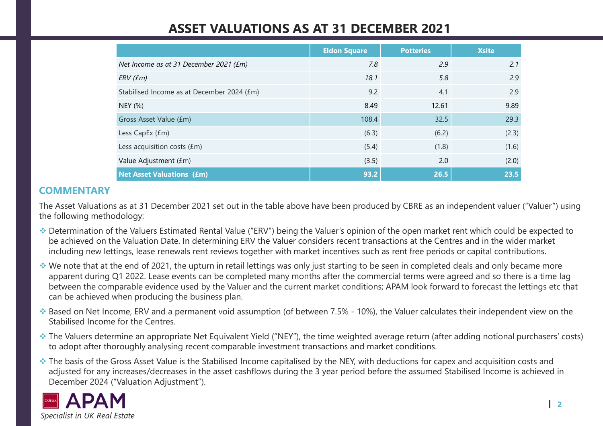## **ASSET VALUATIONS AS AT 31 DECEMBER 2021**

|                                            | <b>Eldon Square</b> | <b>Potteries</b> | <b>Xsite</b> |
|--------------------------------------------|---------------------|------------------|--------------|
| Net Income as at 31 December 2021 (£m)     | 7.8                 | 2.9              | 2.1          |
| $ERV$ ( $Em$ )                             | 18.1                | 5.8              | 2.9          |
| Stabilised Income as at December 2024 (£m) | 9.2                 | 4.1              | 2.9          |
| <b>NEY (%)</b>                             | 8.49                | 12.61            | 9.89         |
| Gross Asset Value (£m)                     | 108.4               | 32.5             | 29.3         |
| Less CapEx $(fm)$                          | (6.3)               | (6.2)            | (2.3)        |
| Less acquisition costs $(fm)$              | (5.4)               | (1.8)            | (1.6)        |
| Value Adjustment (£m)                      | (3.5)               | 2.0              | (2.0)        |
| <b>Net Asset Valuations (£m)</b>           | 93.2                | 26.5             | 23.5         |

### **COMMENTARY**

The Asset Valuations as at 31 December 2021 set out in the table above have been produced by CBRE as an independent valuer ("Valuer") using the following methodology:

- Determination of the Valuers Estimated Rental Value ("ERV") being the Valuer's opinion of the open market rent which could be expected to be achieved on the Valuation Date. In determining ERV the Valuer considers recent transactions at the Centres and in the wider market including new lettings, lease renewals rent reviews together with market incentives such as rent free periods or capital contributions.
- We note that at the end of 2021, the upturn in retail lettings was only just starting to be seen in completed deals and only became more apparent during Q1 2022. Lease events can be completed many months after the commercial terms were agreed and so there is a time lag between the comparable evidence used by the Valuer and the current market conditions; APAM look forward to forecast the lettings etc that can be achieved when producing the business plan.
- ◆ Based on Net Income, ERV and a permanent void assumption (of between 7.5% 10%), the Valuer calculates their independent view on the Stabilised Income for the Centres.
- \* The Valuers determine an appropriate Net Equivalent Yield ("NEY"), the time weighted average return (after adding notional purchasers' costs) to adopt after thoroughly analysing recent comparable investment transactions and market conditions.
- ◆ The basis of the Gross Asset Value is the Stabilised Income capitalised by the NEY, with deductions for capex and acquisition costs and adjusted for any increases/decreases in the asset cashflows during the 3 year period before the assumed Stabilised Income is achieved in December 2024 ("Valuation Adjustment").